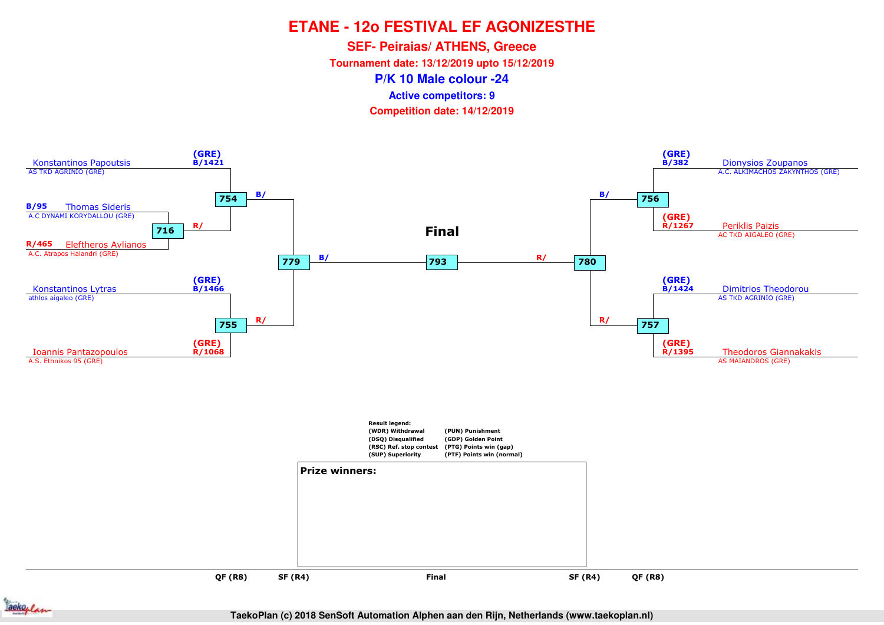**SEF- Peiraias/ ATHENS, Greece**

**Tournament date: 13/12/2019 upto 15/12/2019**

**P/K 10 Male colour -24**

**Active competitors: 9**

**Competition date: 14/12/2019**



ackoplan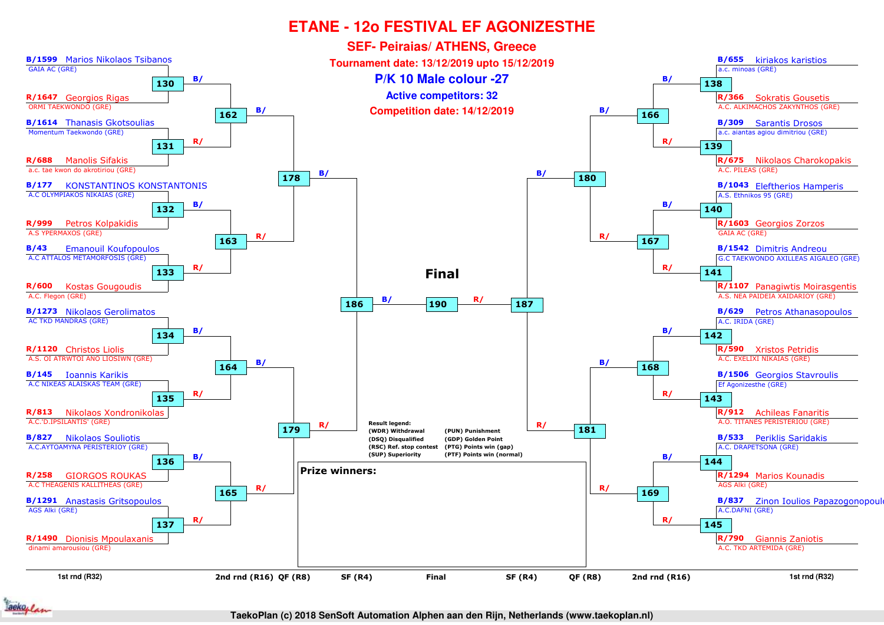

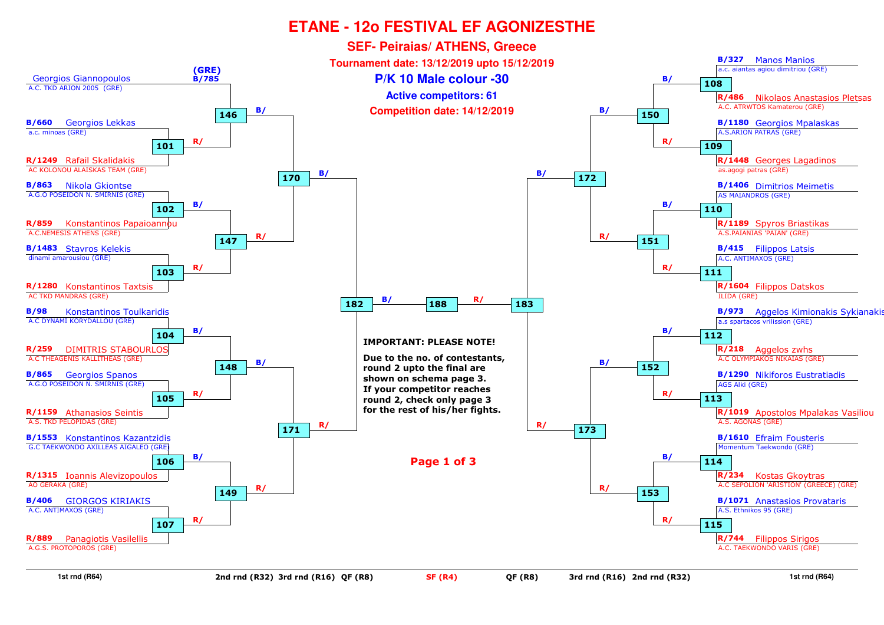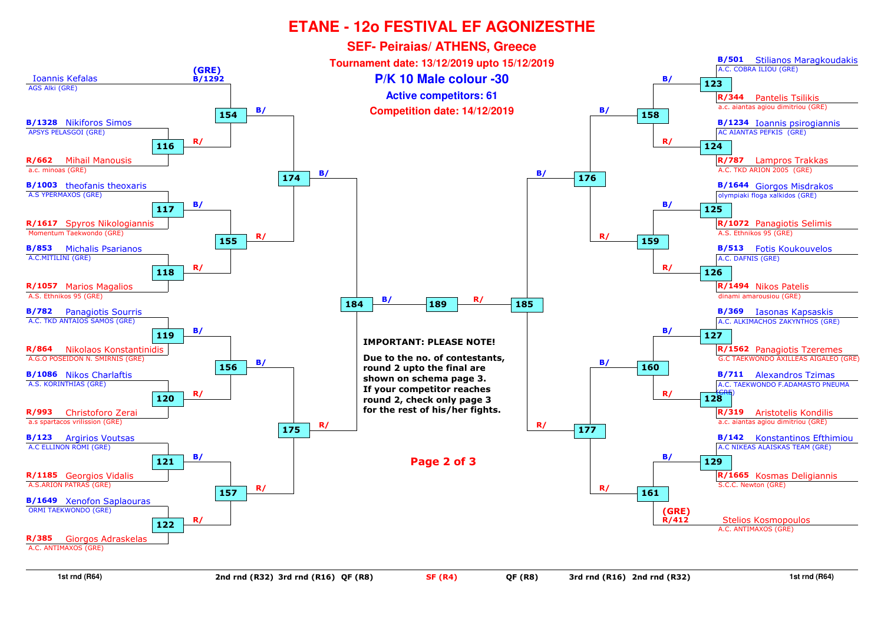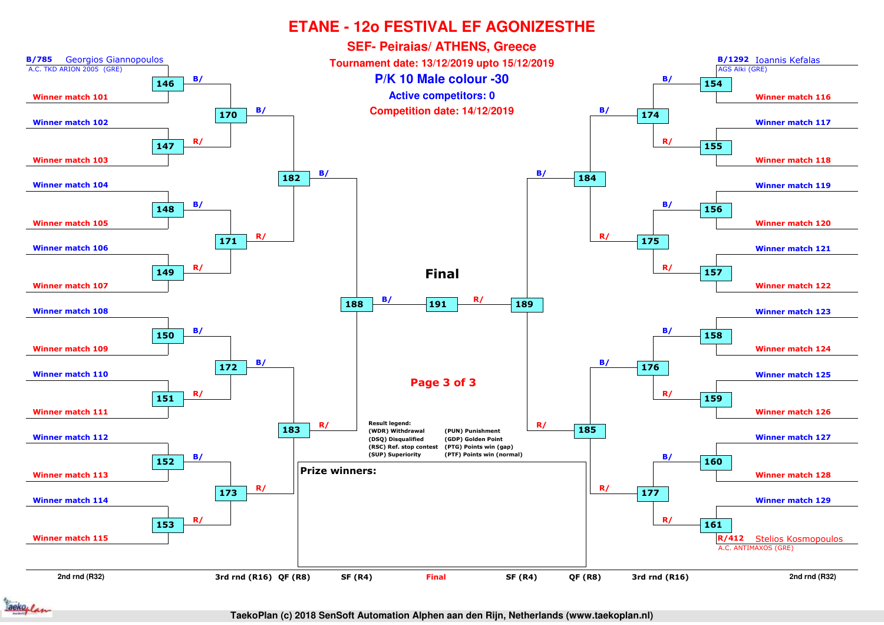

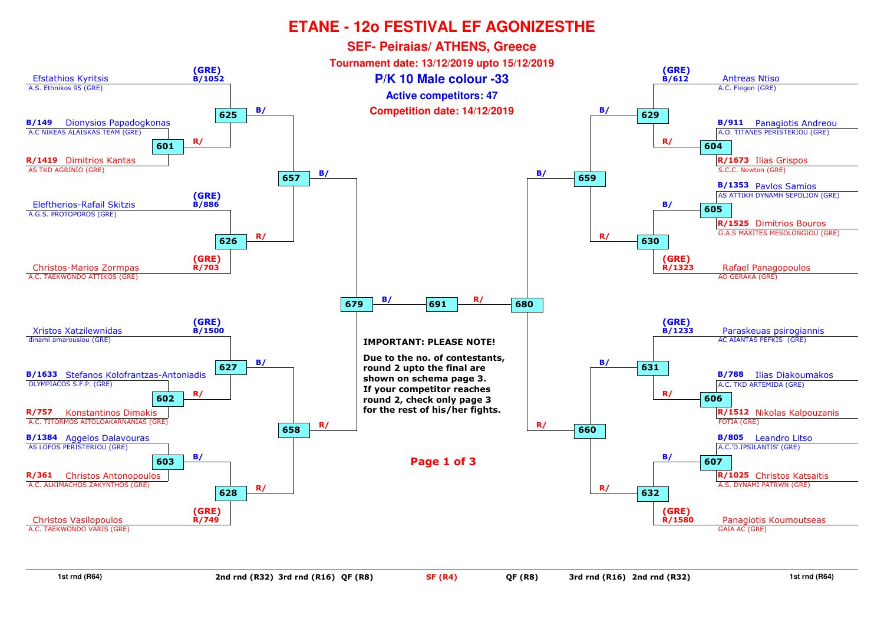

**1st rnd (R64)**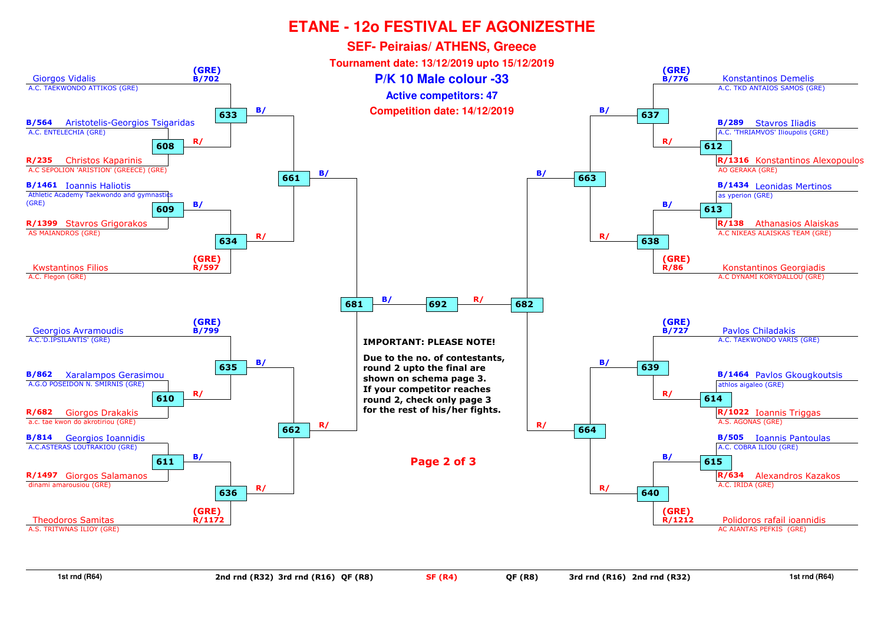

**1st rnd (R64)**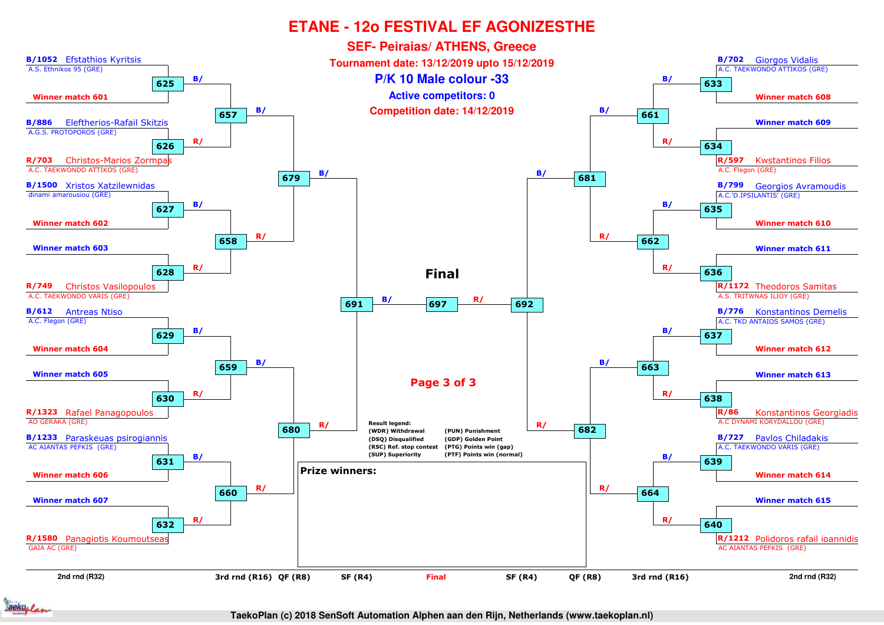

ackoplan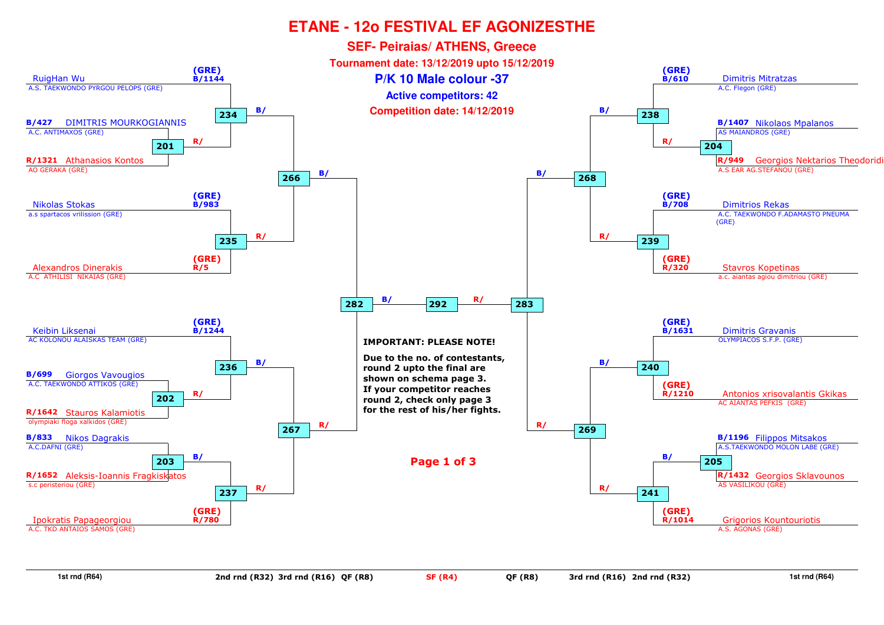

**1st rnd (R64)**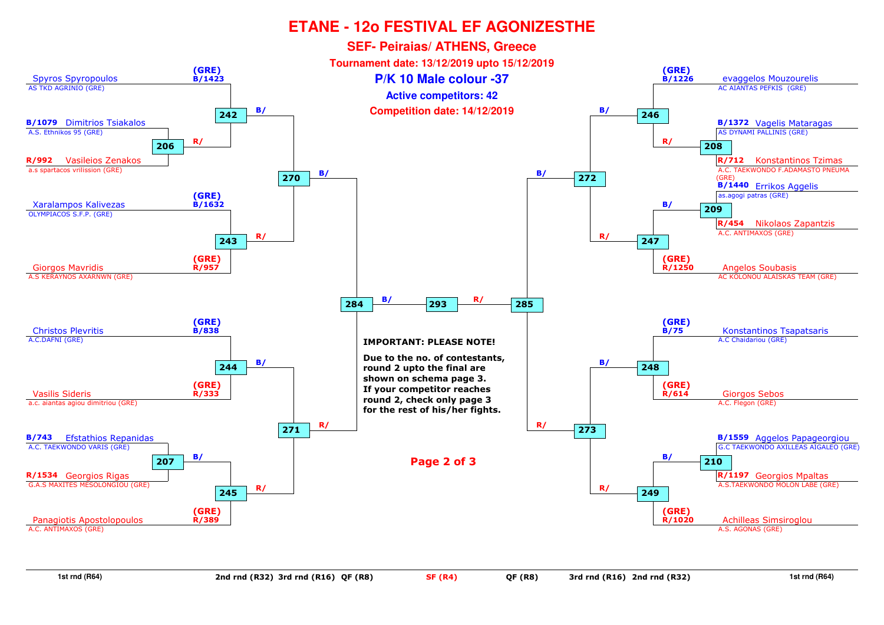

**1st rnd (R64)**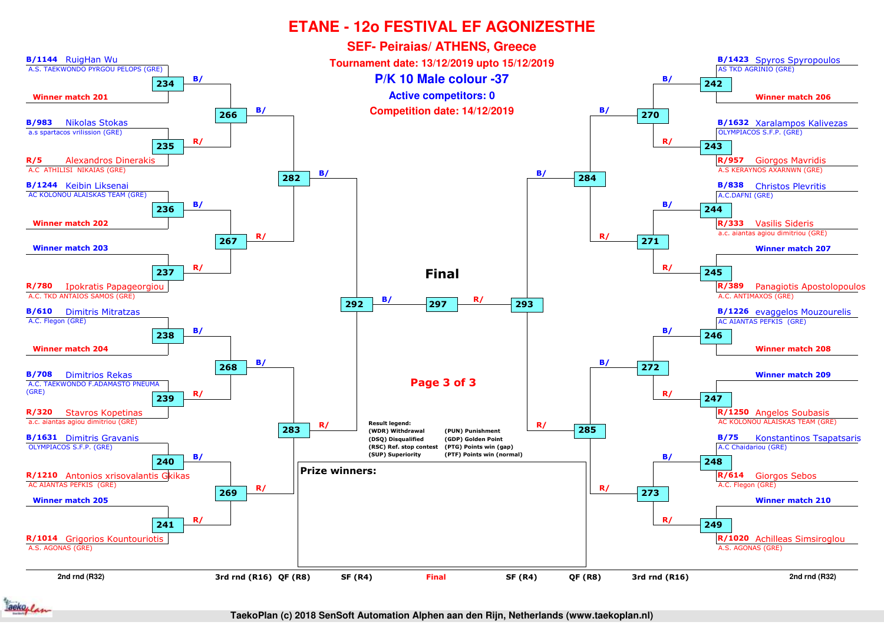

ackoplan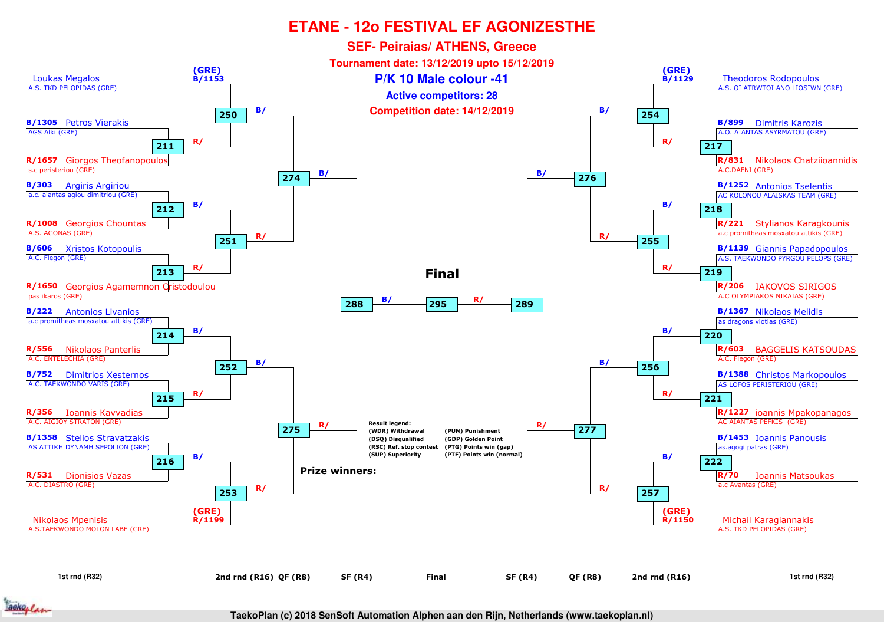

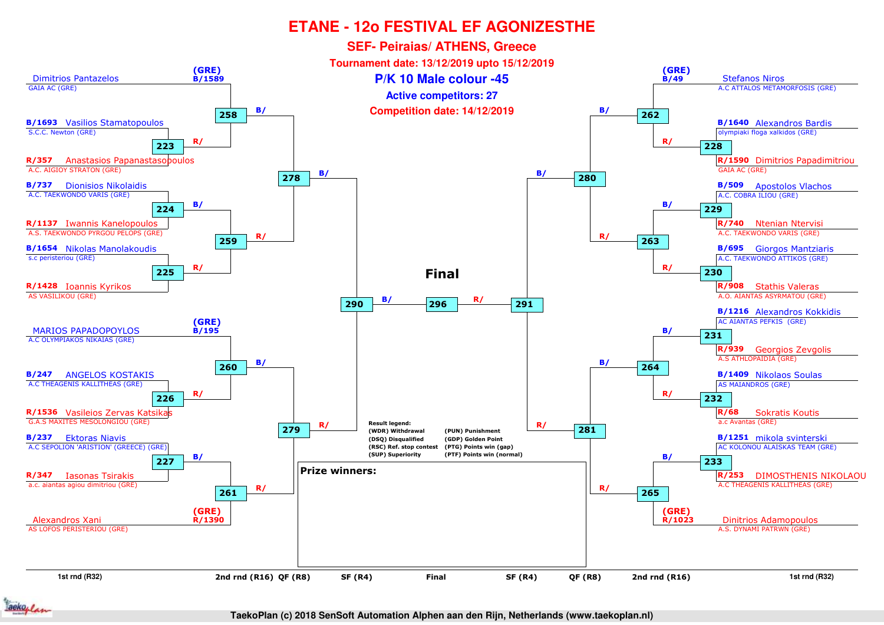

aeko, /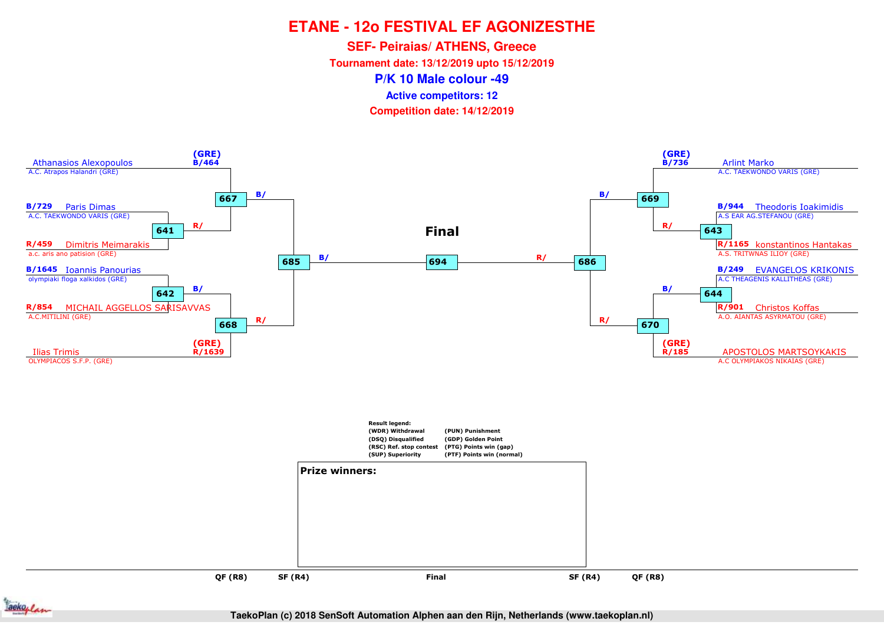**SEF- Peiraias/ ATHENS, Greece**

**Tournament date: 13/12/2019 upto 15/12/2019**

**P/K 10 Male colour -49**

**Active competitors: 12**

**Competition date: 14/12/2019**



**QF (R8)QF (R8)**

**SF (R4)**



**TaekoPlan (c) 2018 SenSoft Automation Alphen aan den Rijn, Netherlands (www.taekoplan.nl)**

**Final**

and the set of the set of the set of the set of the set of the set of the set of the set of the set of the set o<br>The set of the set of the set of the set of the set of the set of the set of the set of the set of the set of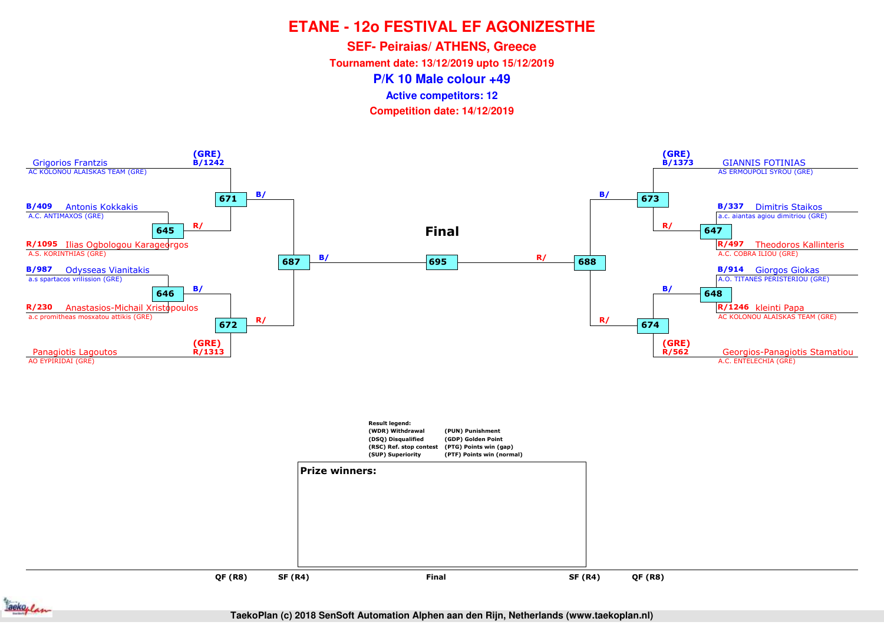**SEF- Peiraias/ ATHENS, Greece**

**Tournament date: 13/12/2019 upto 15/12/2019**

**P/K 10 Male colour +49**

**Active competitors: 12**

**Competition date: 14/12/2019**



**QF (R8)QF (R8)**

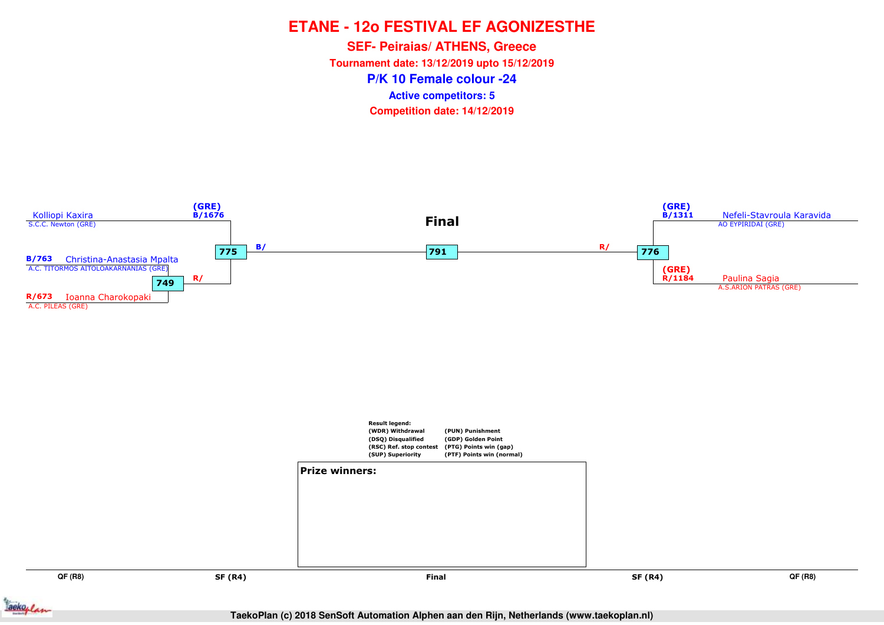**P/K 10 Female colour -24SEF- Peiraias/ ATHENS, Greece Tournament date: 13/12/2019 upto 15/12/2019Competition date: 14/12/2019 Active competitors: 5**



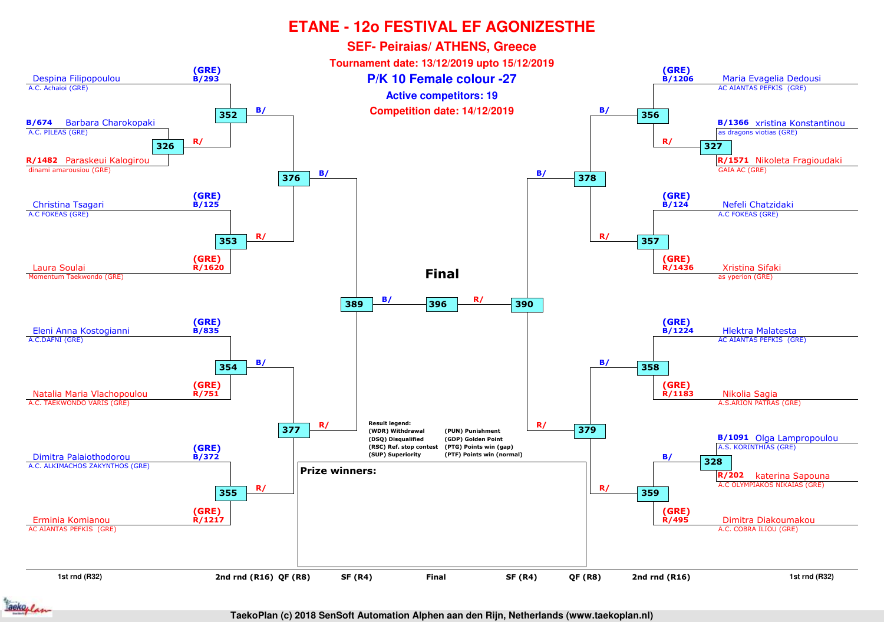

ackoplan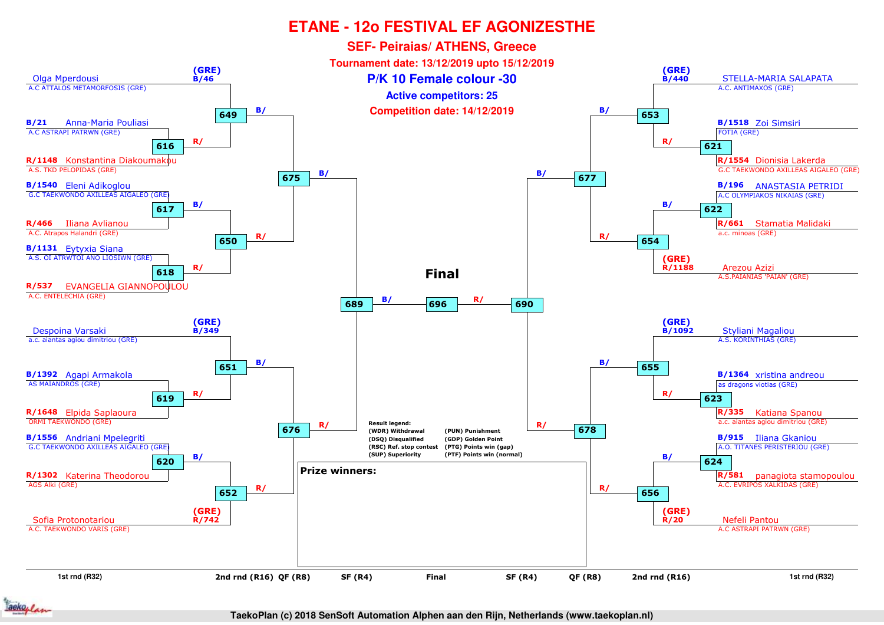

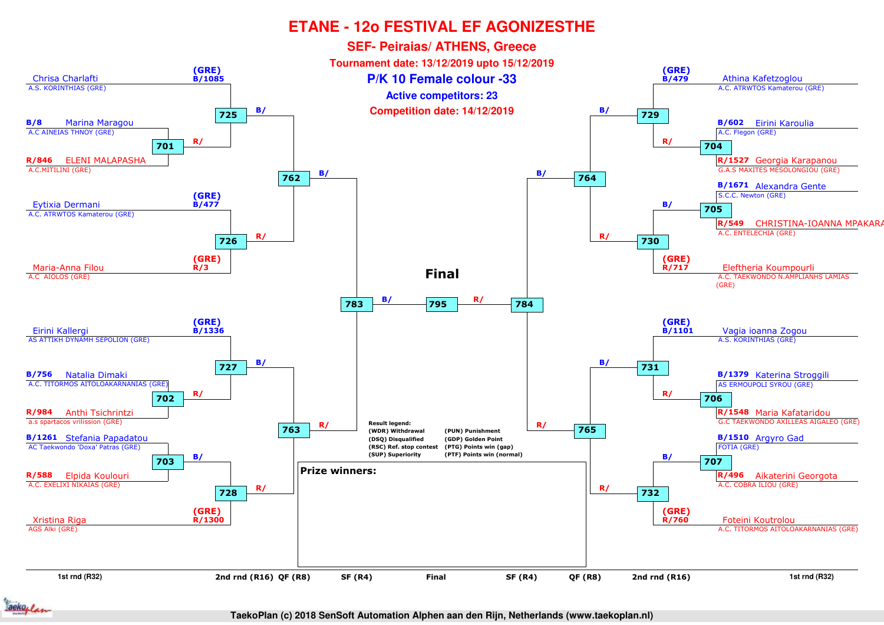

aeko, /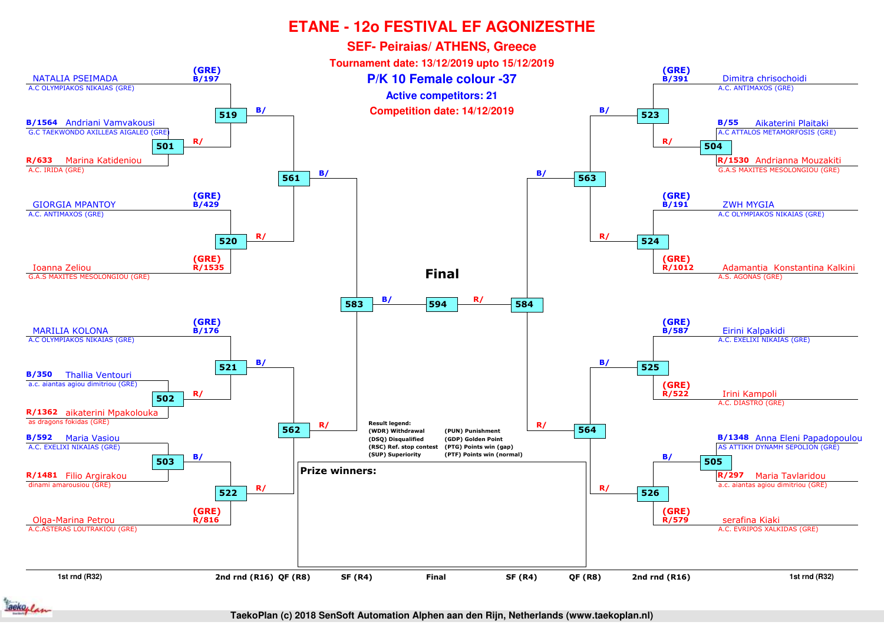

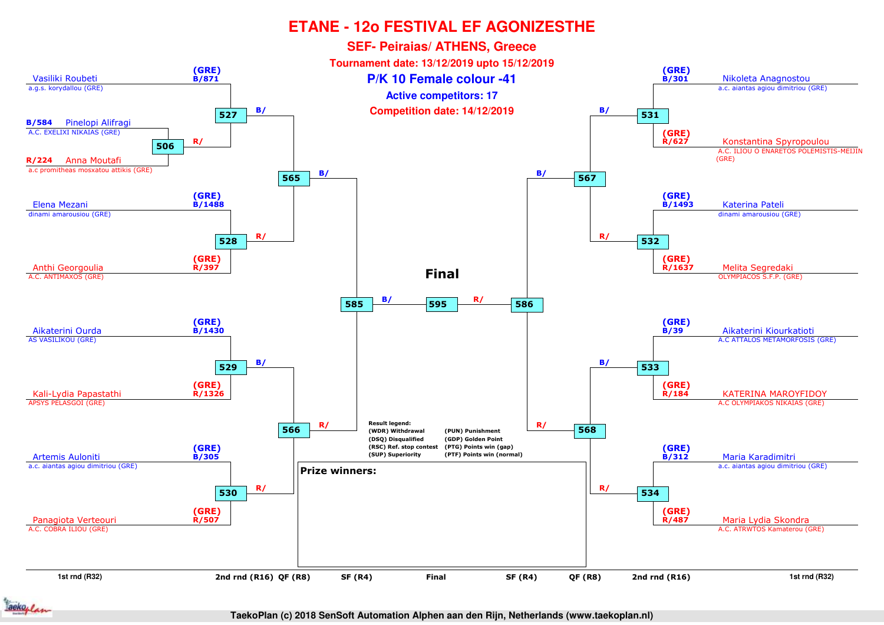

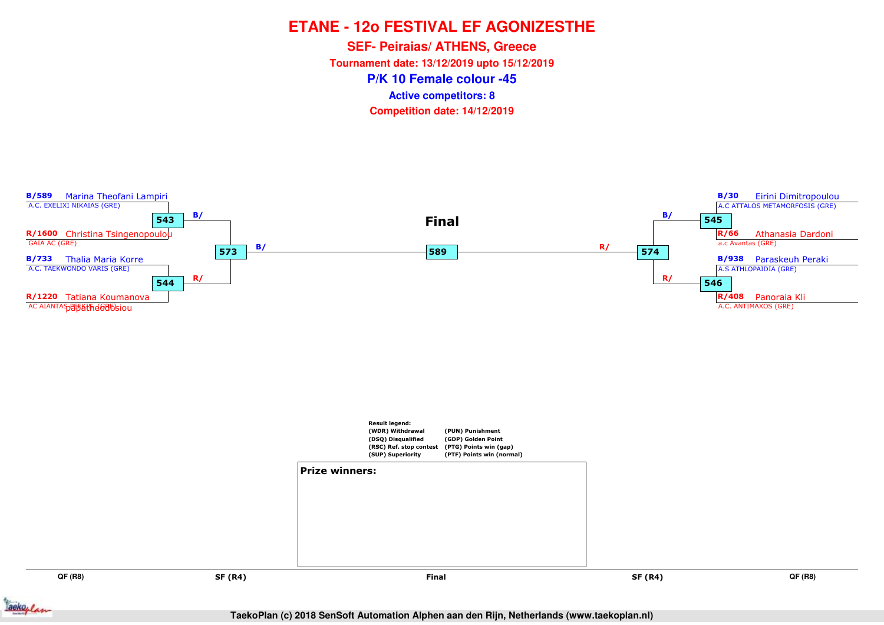**P/K 10 Female colour -45SEF- Peiraias/ ATHENS, Greece Tournament date: 13/12/2019 upto 15/12/2019Competition date: 14/12/2019 Active competitors: 8**



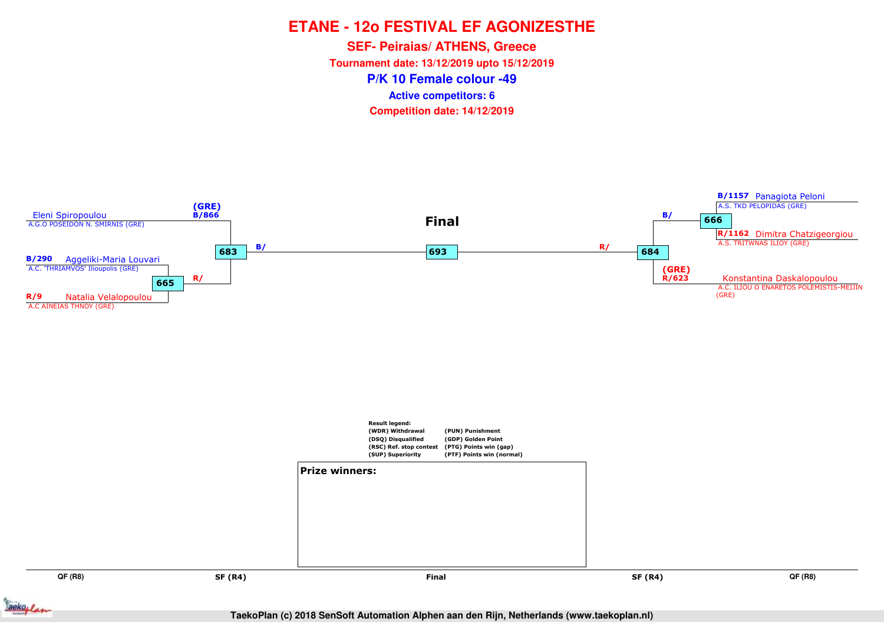**P/K 10 Female colour -49SEF- Peiraias/ ATHENS, Greece Tournament date: 13/12/2019 upto 15/12/2019Competition date: 14/12/2019 Active competitors: 6**

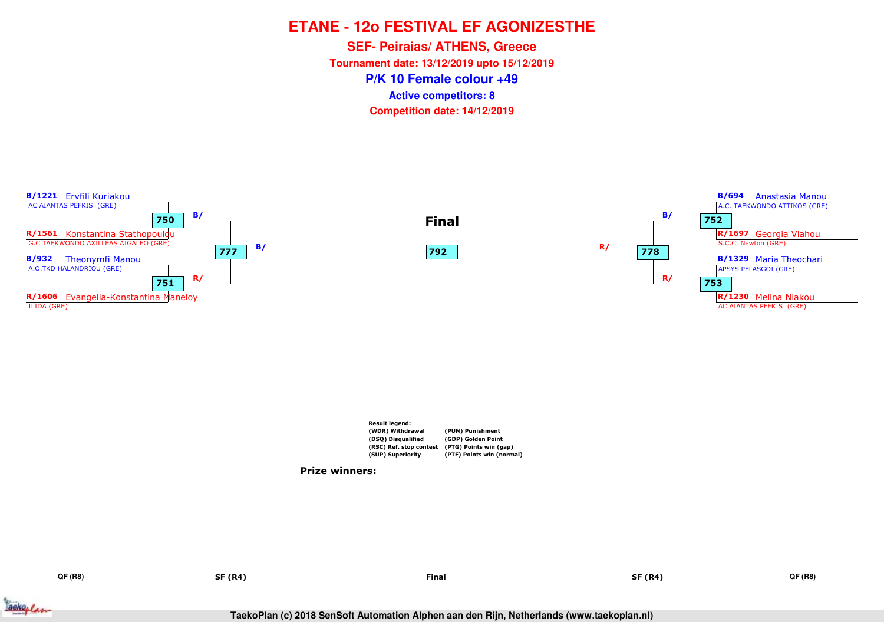**P/K 10 Female colour +49SEF- Peiraias/ ATHENS, Greece Tournament date: 13/12/2019 upto 15/12/2019Competition date: 14/12/2019 Active competitors: 8**



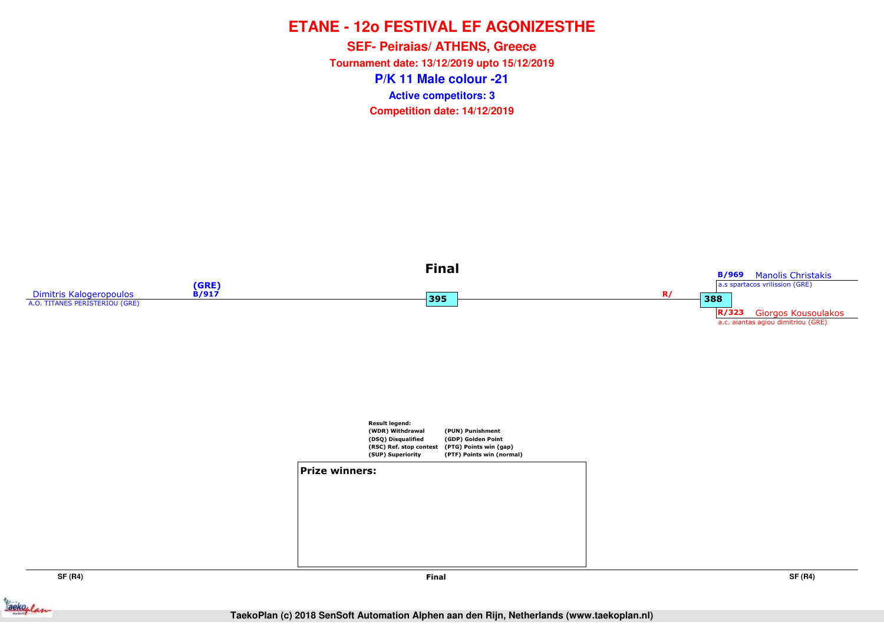**P/K 11 Male colour -21SEF- Peiraias/ ATHENS, Greece Tournament date: 13/12/2019 upto 15/12/2019Competition date: 14/12/2019 Active competitors: 3**



**SF (R4)**



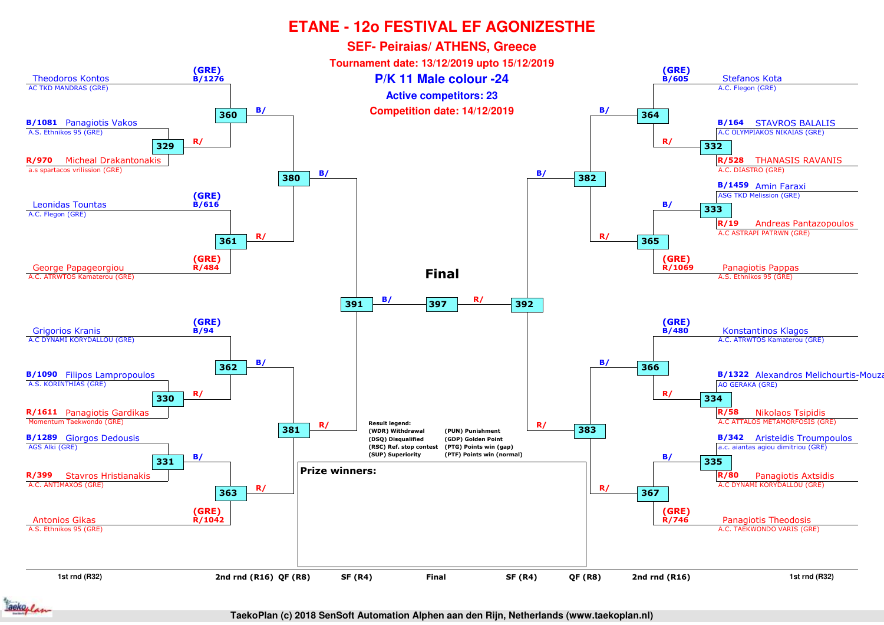

ackoplan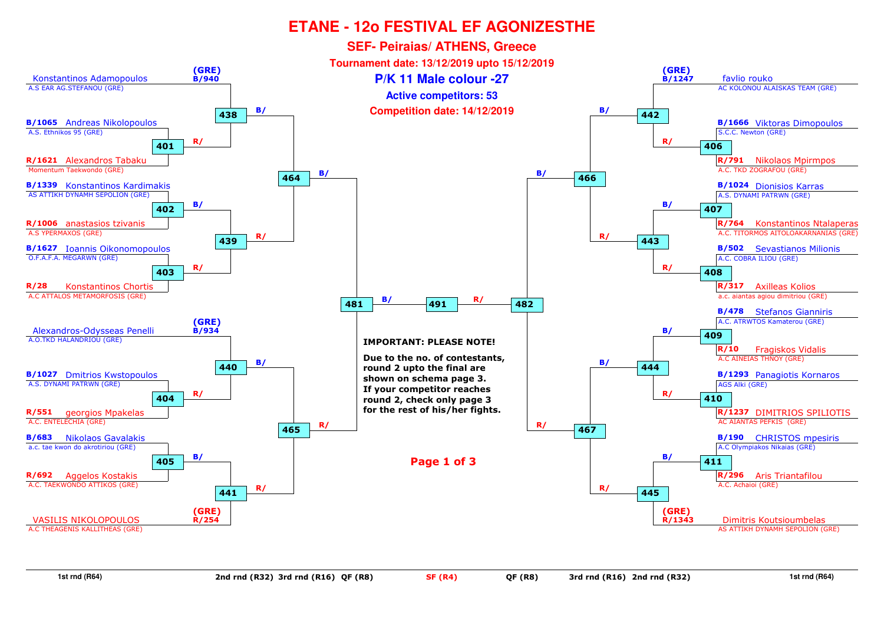

**1st rnd (R64)**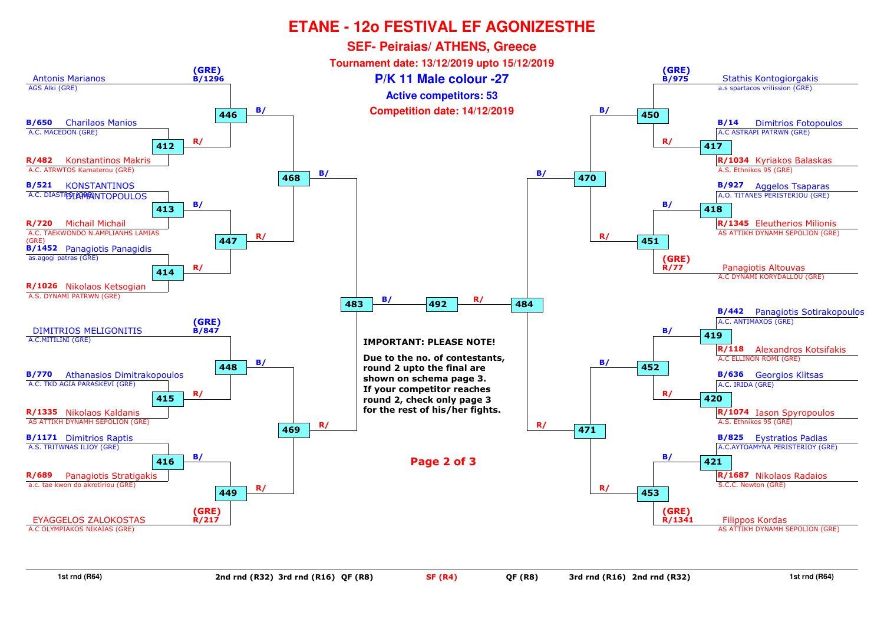

**1st rnd (R64)**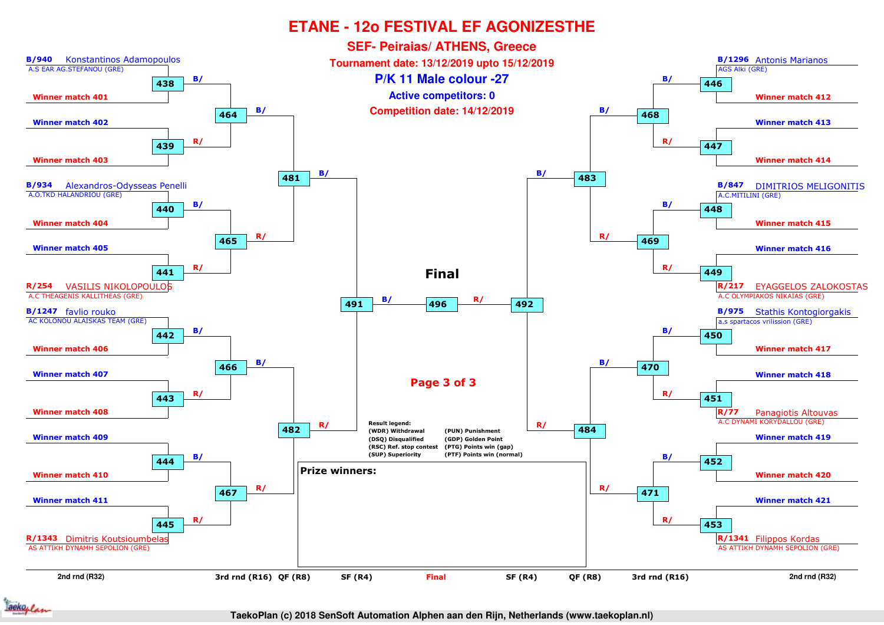

ackoplan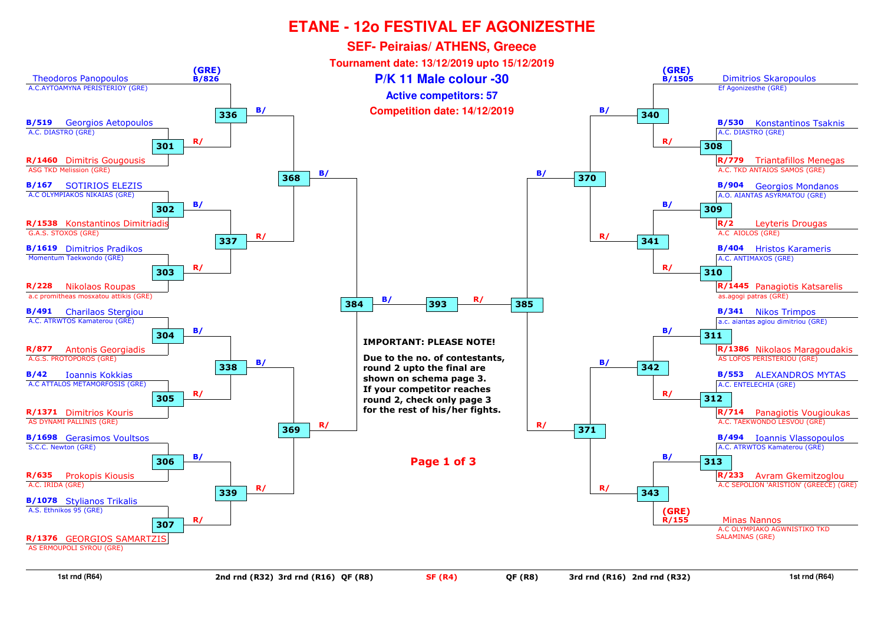

**1st rnd (R64)**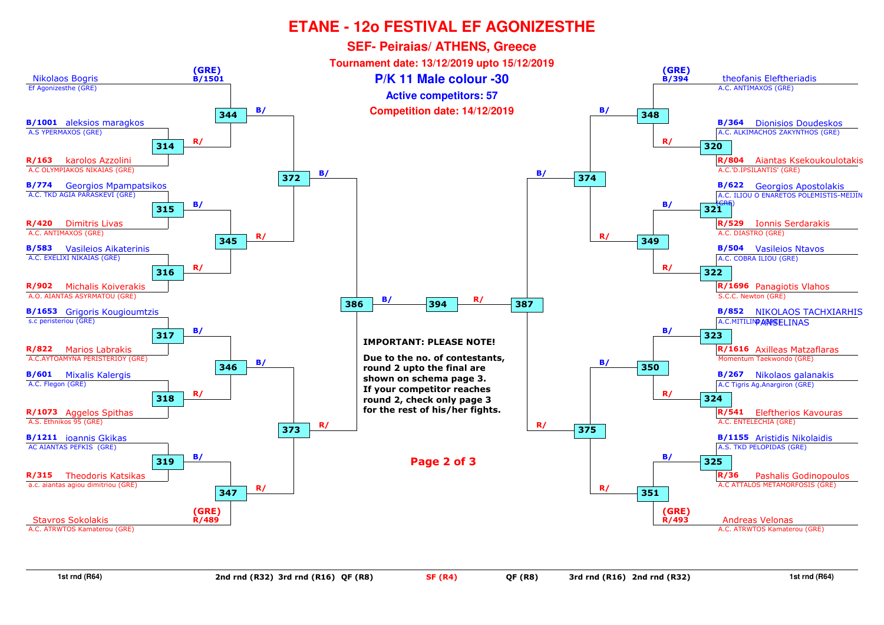

**1st rnd (R64)**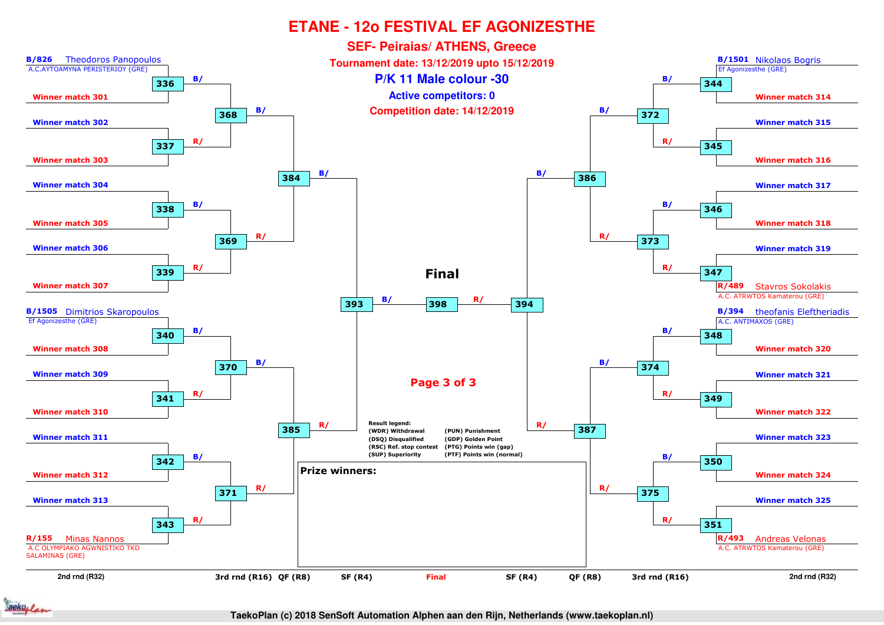

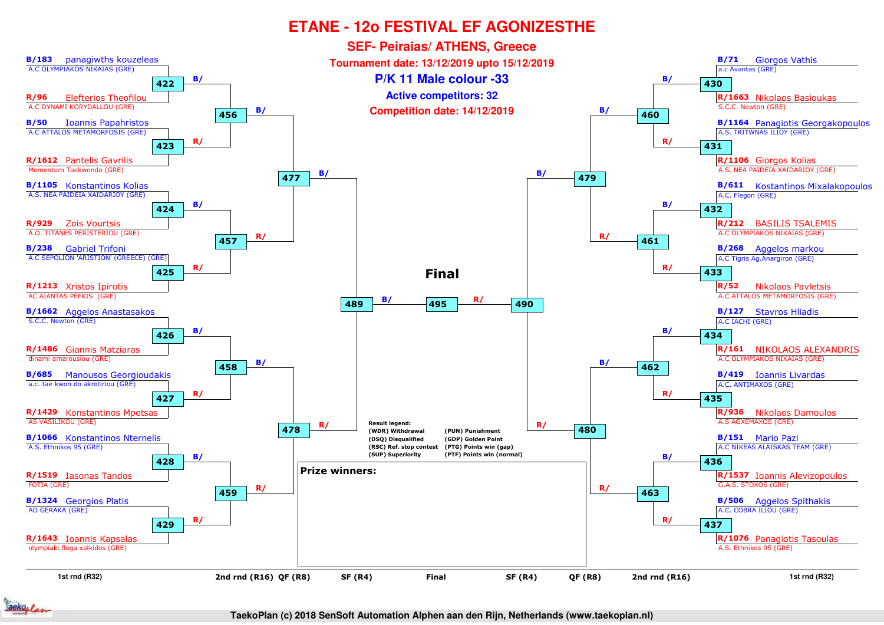

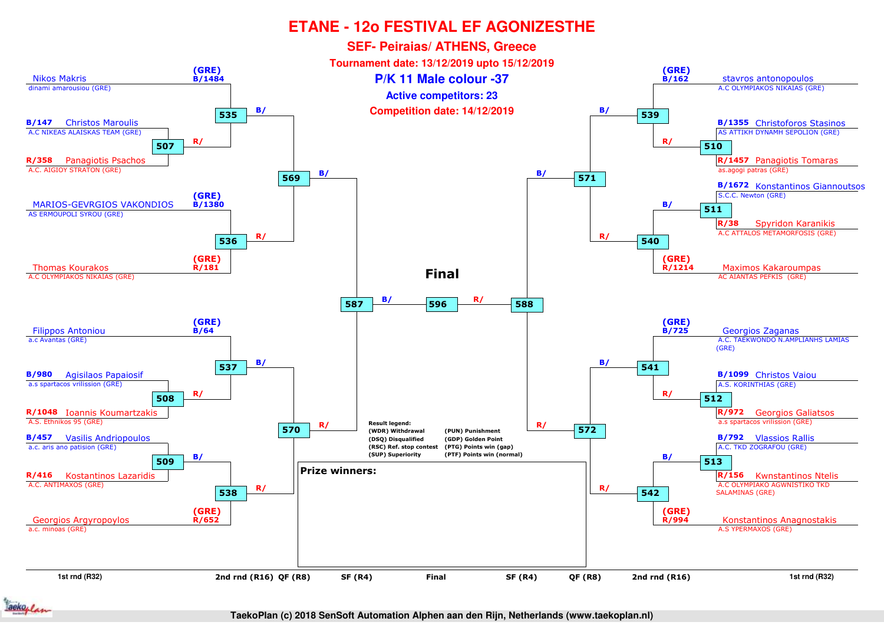

ackoplan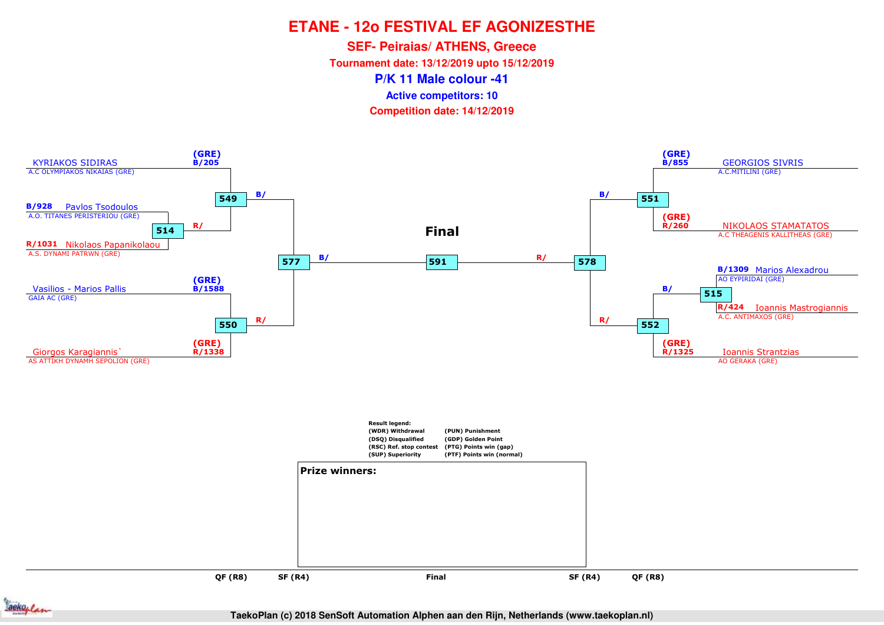**SEF- Peiraias/ ATHENS, Greece**

**Tournament date: 13/12/2019 upto 15/12/2019**

**P/K 11 Male colour -41**

**Active competitors: 10**

**Competition date: 14/12/2019**



ackoplan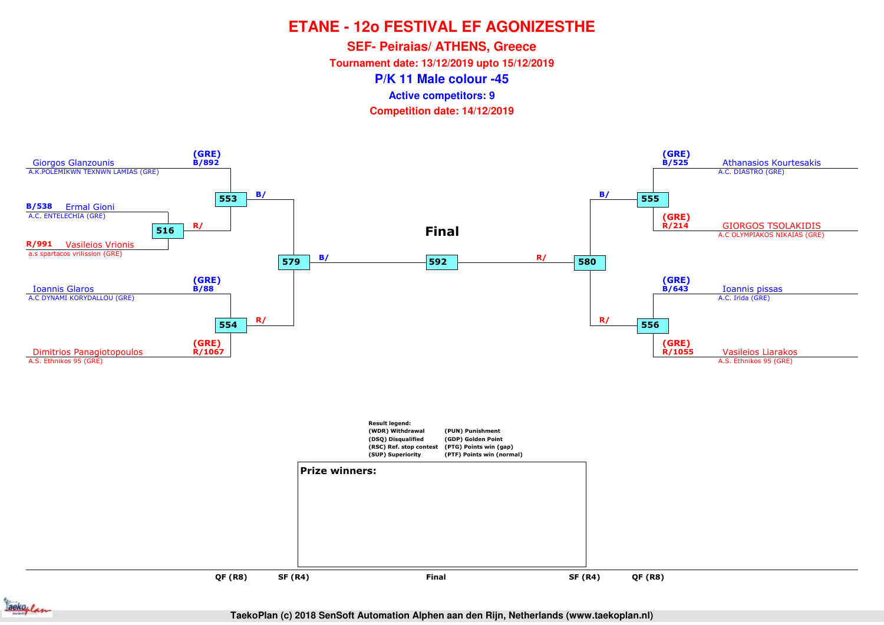**SEF- Peiraias/ ATHENS, Greece**

**Tournament date: 13/12/2019 upto 15/12/2019**

**P/K 11 Male colour -45**

**Active competitors: 9**

**Competition date: 14/12/2019**



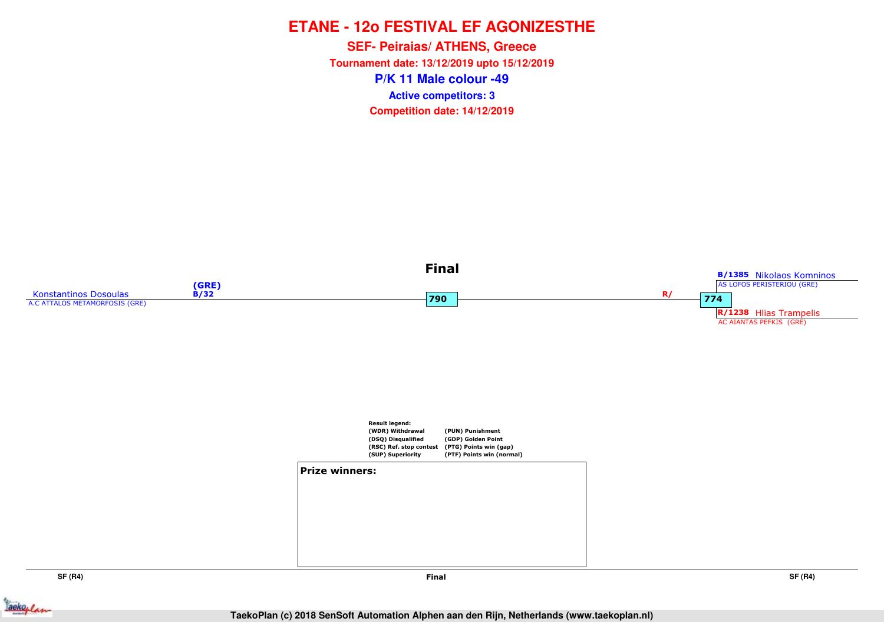**P/K 11 Male colour -49SEF- Peiraias/ ATHENS, Greece Tournament date: 13/12/2019 upto 15/12/2019Competition date: 14/12/2019 Active competitors: 3**



**SF (R4)**

**Final**

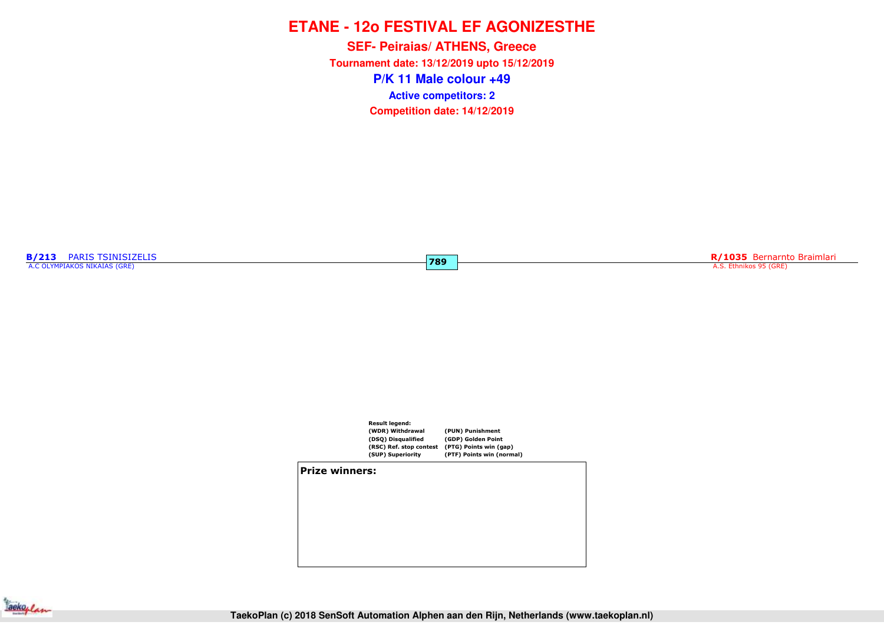**P/K 11 Male colour +49SEF- Peiraias/ ATHENS, Greece Tournament date: 13/12/2019 upto 15/12/2019Competition date: 14/12/2019 Active competitors: 2**

**789**

**B/213** PARIS TSINISIZELIS A.C OLYMPIAKOS NIKAIAS (GRE)

**R/1035** Bernarnto Braimlari A.S. Ethnikos 95 (GRE)



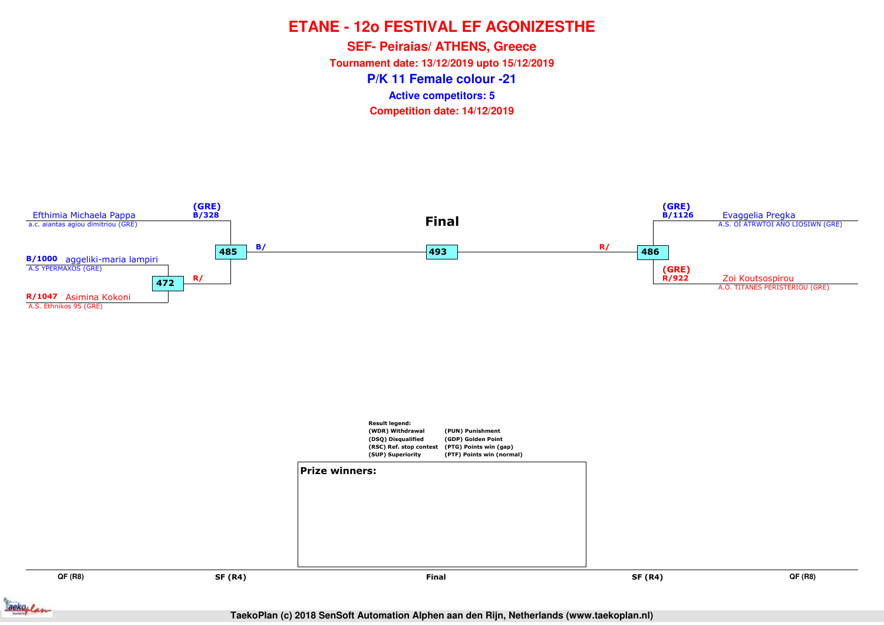**P/K 11 Female colour -21SEF- Peiraias/ ATHENS, Greece Tournament date: 13/12/2019 upto 15/12/2019Competition date: 14/12/2019 Active competitors: 5**

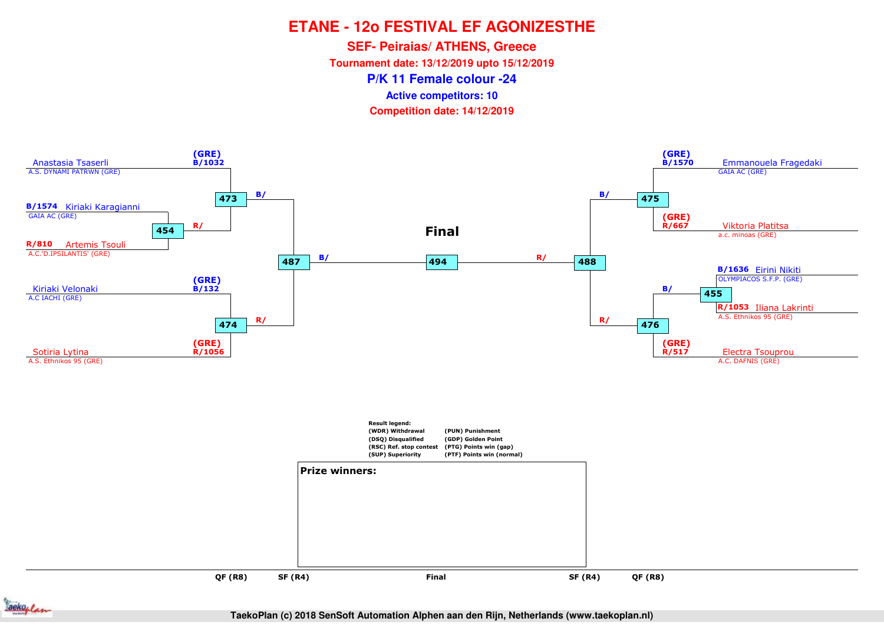**SEF- Peiraias/ ATHENS, Greece**

**Tournament date: 13/12/2019 upto 15/12/2019**

**P/K 11 Female colour -24**

**Active competitors: 10**

**Competition date: 14/12/2019**



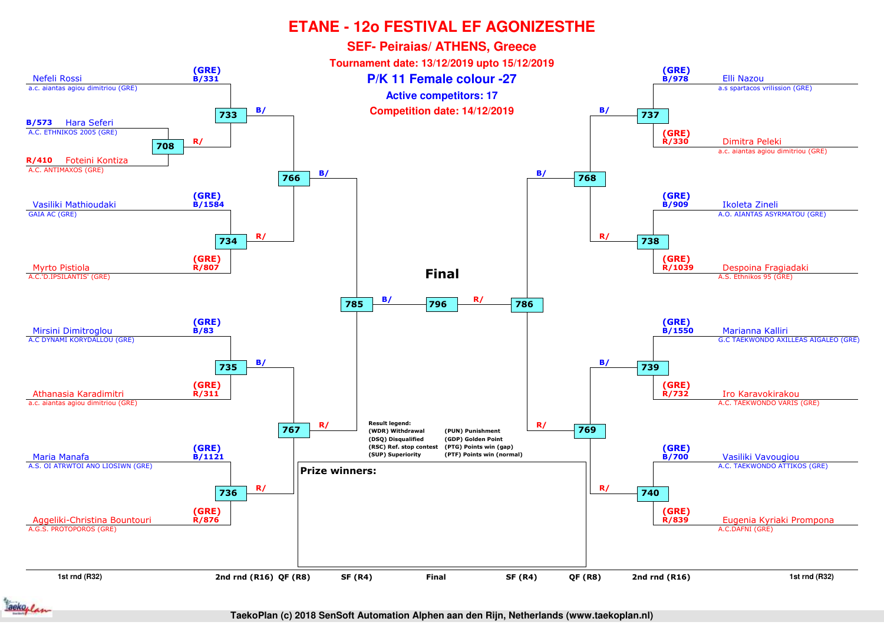

ackoplan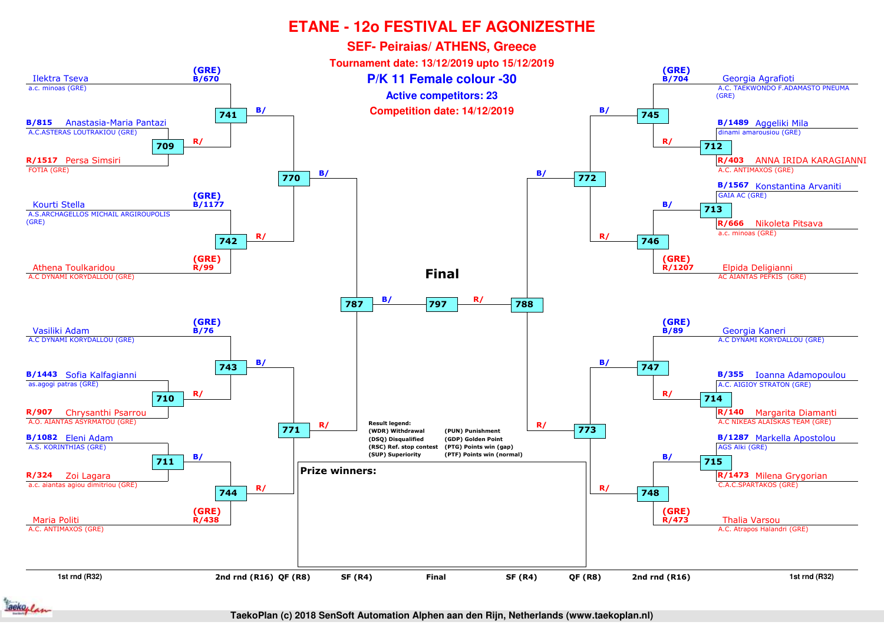

aeko, /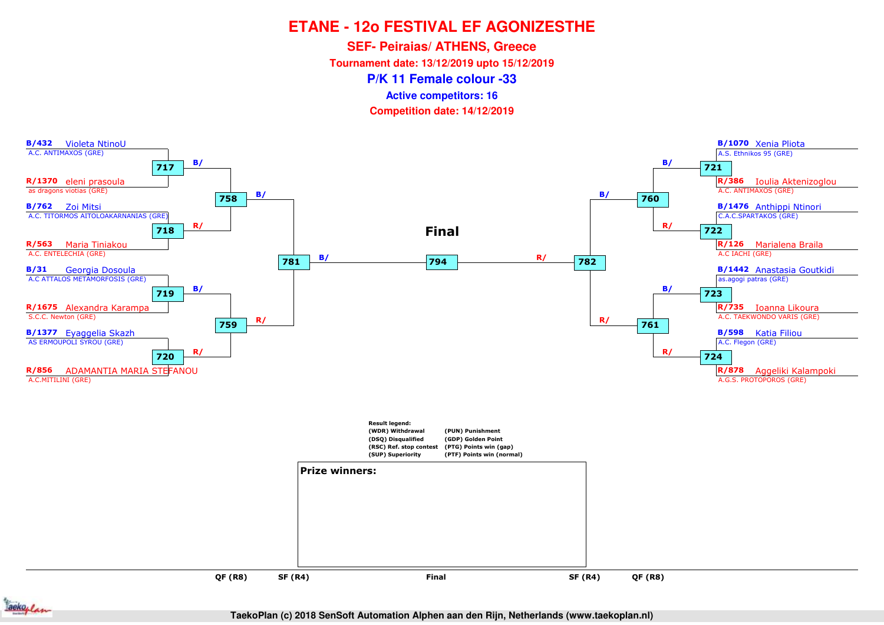**SEF- Peiraias/ ATHENS, Greece**

**Tournament date: 13/12/2019 upto 15/12/2019**

**P/K 11 Female colour -33**

**Active competitors: 16**

**Competition date: 14/12/2019**



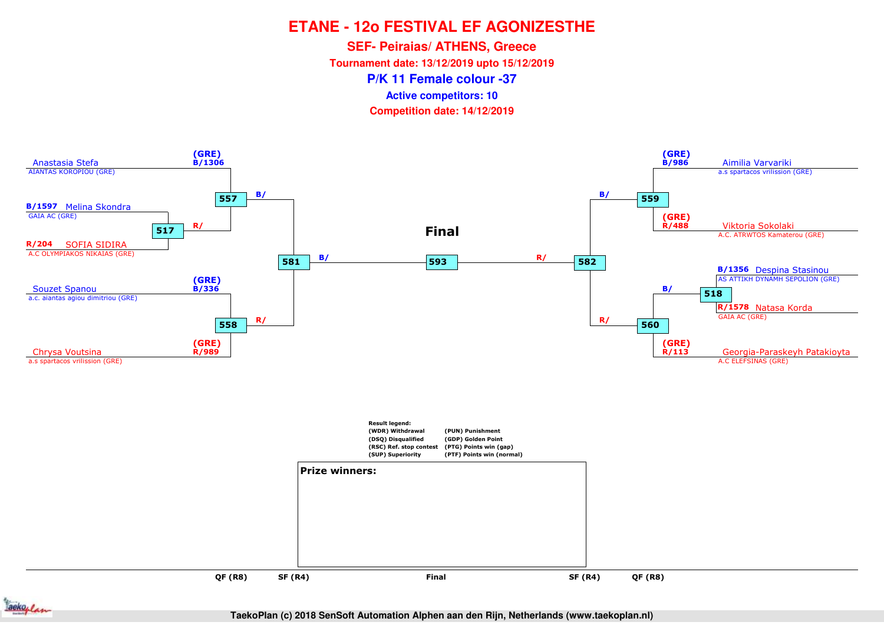**SEF- Peiraias/ ATHENS, Greece**

**Tournament date: 13/12/2019 upto 15/12/2019**

**P/K 11 Female colour -37**

**Active competitors: 10**

**Competition date: 14/12/2019**



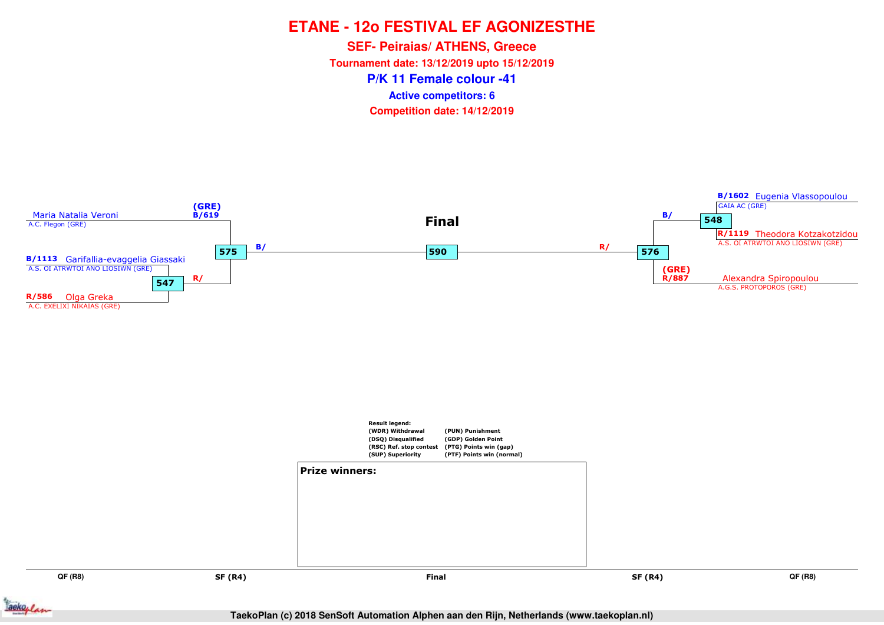**P/K 11 Female colour -41SEF- Peiraias/ ATHENS, Greece Tournament date: 13/12/2019 upto 15/12/2019Competition date: 14/12/2019 Active competitors: 6**